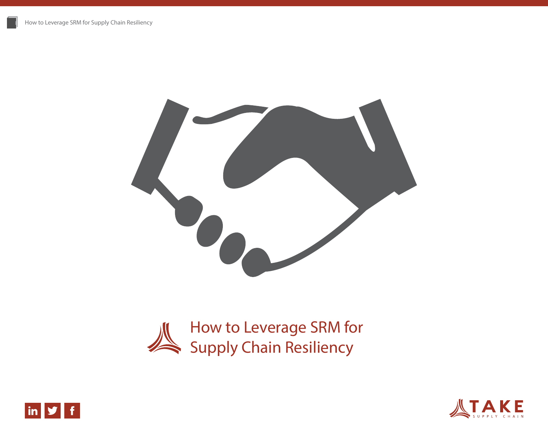





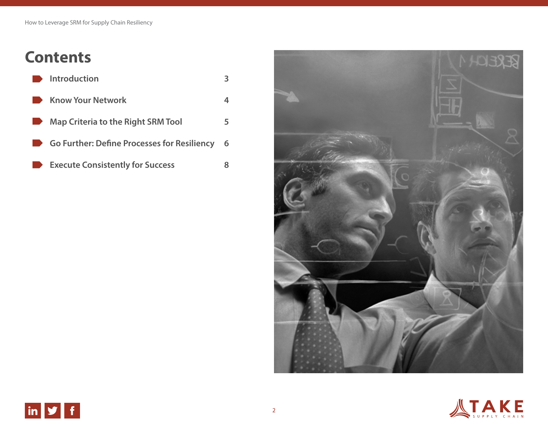# **Contents**

|                                                                                                                      | $\blacksquare$ Introduction                 |   |
|----------------------------------------------------------------------------------------------------------------------|---------------------------------------------|---|
|                                                                                                                      | <b>EXAMPLE CONTROLLEY KNOW Your Network</b> |   |
| <b>The Contract of Street</b>                                                                                        | <b>Map Criteria to the Right SRM Tool</b>   | 5 |
|                                                                                                                      | Go Further: Define Processes for Resiliency | 6 |
| <b>In the case of the case of the case of the case of the case of the case of the case of the case of the case o</b> | <b>Execute Consistently for Success</b>     |   |



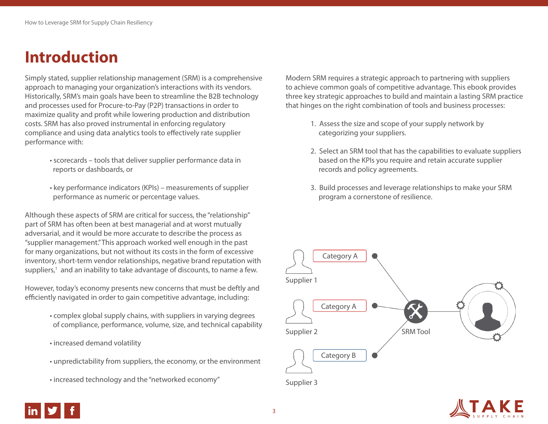## **Introduction**

Simply stated, supplier relationship management (SRM) is a comprehensive approach to managing your organization's interactions with its vendors. Historically, SRM's main goals have been to streamline the B2B technology and processes used for Procure-to-Pay (P2P) transactions in order to maximize quality and profit while lowering production and distribution costs. SRM has also proved instrumental in enforcing regulatory compliance and using data analytics tools to effectively rate supplier performance with:

- scorecards tools that deliver supplier performance data in reports or dashboards, or
- key performance indicators (KPIs) measurements of supplier performance as numeric or percentage values.

Although these aspects of SRM are critical for success, the "relationship" part of SRM has often been at best managerial and at worst mutually adversarial, and it would be more accurate to describe the process as "supplier management." This approach worked well enough in the past for many organizations, but not without its costs in the form of excessive inventory, short-term vendor relationships, negative brand reputation with suppliers,<sup>1</sup> and an inability to take advantage of discounts, to name a few.

However, today's economy presents new concerns that must be deftly and efficiently navigated in order to gain competitive advantage, including:

- complex global supply chains, with suppliers in varying degrees of compliance, performance, volume, size, and technical capability
- increased demand volatility
- unpredictability from suppliers, the economy, or the environment
- increased technology and the "networked economy"

Modern SRM requires a strategic approach to partnering with suppliers to achieve common goals of competitive advantage. This ebook provides three key strategic approaches to build and maintain a lasting SRM practice that hinges on the right combination of tools and business processes:

- 1. Assess the size and scope of your supply network by categorizing your suppliers.
- 2. Select an SRM tool that has the capabilities to evaluate suppliers based on the KPIs you require and retain accurate supplier records and policy agreements.
- 3. Build processes and leverage relationships to make your SRM program a cornerstone of resilience.





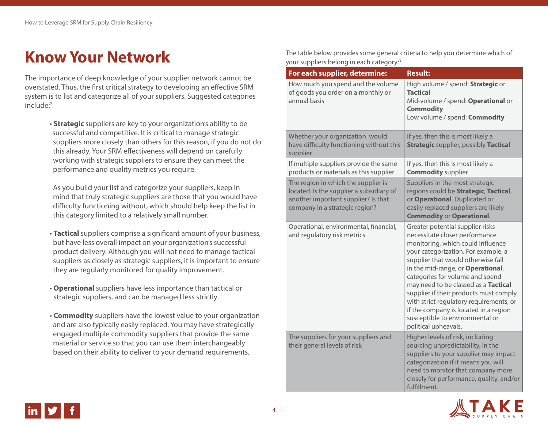## **Know Your Network**

The importance of deep knowledge of your supplier network cannot be overstated. Thus, the first critical strategy to developing an effective SRM system is to list and categorize all of your suppliers. Suggested categories include:2

> • **Strategic** suppliers are key to your organization's ability to be successful and competitive. It is critical to manage strategic suppliers more closely than others for this reason, if you do not do this already. Your SRM effectiveness will depend on carefully working with strategic suppliers to ensure they can meet the performance and quality metrics you require.

 As you build your list and categorize your suppliers, keep in mind that truly strategic suppliers are those that you would have difficulty functioning without, which should help keep the list in this category limited to a relatively small number.

- **Tactical** suppliers comprise a significant amount of your business, but have less overall impact on your organization's successful product delivery. Although you will not need to manage tactical suppliers as closely as strategic suppliers, it is important to ensure they are regularly monitored for quality improvement.
- **Operational** suppliers have less importance than tactical or strategic suppliers, and can be managed less strictly.
- **Commodity** suppliers have the lowest value to your organization and are also typically easily replaced. You may have strategically engaged multiple commodity suppliers that provide the same material or service so that you can use them interchangeably based on their ability to deliver to your demand requirements.

The table below provides some general criteria to help you determine which of your suppliers belong in each category:3

| For each supplier, determine:                                                                                                                            | <b>Result:</b>                                                                                                                                                                                                                                                                                                                                                                                                                                                                                |
|----------------------------------------------------------------------------------------------------------------------------------------------------------|-----------------------------------------------------------------------------------------------------------------------------------------------------------------------------------------------------------------------------------------------------------------------------------------------------------------------------------------------------------------------------------------------------------------------------------------------------------------------------------------------|
| How much you spend and the volume<br>of goods you order on a monthly or<br>annual basis                                                                  | High volume / spend: Strategic or<br><b>Tactical</b><br>Mid-volume / spend: Operational or<br><b>Commodity</b><br>Low volume / spend: Commodity                                                                                                                                                                                                                                                                                                                                               |
| Whether your organization would<br>have difficulty functioning without this<br>supplier                                                                  | If yes, then this is most likely a<br><b>Strategic supplier, possibly Tactical</b>                                                                                                                                                                                                                                                                                                                                                                                                            |
| If multiple suppliers provide the same<br>products or materials as this supplier                                                                         | If yes, then this is most likely a<br><b>Commodity supplier</b>                                                                                                                                                                                                                                                                                                                                                                                                                               |
| The region in which the supplier is<br>located. Is the supplier a subsidiary of<br>another important supplier? Is that<br>company in a strategic region? | Suppliers in the most strategic<br>regions could be Strategic, Tactical,<br>or Operational. Duplicated or<br>easily replaced suppliers are likely<br><b>Commodity or Operational.</b>                                                                                                                                                                                                                                                                                                         |
| Operational, environmental, financial,<br>and regulatory risk metrics                                                                                    | Greater potential supplier risks<br>necessitate closer performance<br>monitoring, which could influence<br>your categorization. For example, a<br>supplier that would otherwise fall<br>in the mid-range, or Operational,<br>categories for volume and spend<br>may need to be classed as a Tactical<br>supplier if their products must comply<br>with strict regulatory requirements, or<br>if the company is located in a region<br>susceptible to environmental or<br>political upheavals. |
| The suppliers for your suppliers and<br>their general levels of risk                                                                                     | Higher levels of risk, including<br>sourcing unpredictability, in the<br>suppliers to your supplier may impact<br>categorization if it means you will<br>need to monitor that company more<br>closely for performance, quality, and/or<br>fulfillment.                                                                                                                                                                                                                                        |



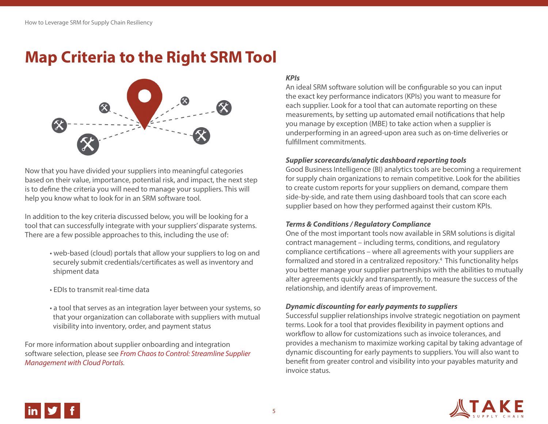## **Map Criteria to the Right SRM Tool**



Now that you have divided your suppliers into meaningful categories based on their value, importance, potential risk, and impact, the next step is to define the criteria you will need to manage your suppliers. This will help you know what to look for in an SRM software tool.

In addition to the key criteria discussed below, you will be looking for a tool that can successfully integrate with your suppliers' disparate systems. There are a few possible approaches to this, including the use of:

- web-based (cloud) portals that allow your suppliers to log on and securely submit credentials/certificates as well as inventory and shipment data
- EDIs to transmit real-time data
- a tool that serves as an integration layer between your systems, so that your organization can collaborate with suppliers with mutual visibility into inventory, order, and payment status

For more information about supplier onboarding and integration software selection, please see *[From Chaos to Control: Streamline Supplier](http://takesupplychain.com/2013/10/chaos-control-streamline-supplier-management-cloud-portals/)  [Management with Cloud Portals.](http://takesupplychain.com/2013/10/chaos-control-streamline-supplier-management-cloud-portals/)*

### *KPIs*

An ideal SRM software solution will be configurable so you can input the exact key performance indicators (KPIs) you want to measure for each supplier. Look for a tool that can automate reporting on these measurements, by setting up automated email notifications that help you manage by exception (MBE) to take action when a supplier is underperforming in an agreed-upon area such as on-time deliveries or fulfillment commitments.

#### *Supplier scorecards/analytic dashboard reporting tools*

Good Business Intelligence (BI) analytics tools are becoming a requirement for supply chain organizations to remain competitive. Look for the abilities to create custom reports for your suppliers on demand, compare them side-by-side, and rate them using dashboard tools that can score each supplier based on how they performed against their custom KPIs.

#### *Terms & Conditions / Regulatory Compliance*

One of the most important tools now available in SRM solutions is digital contract management – including terms, conditions, and regulatory compliance certifications – where all agreements with your suppliers are formalized and stored in a centralized repository.<sup>4</sup> This functionality helps you better manage your supplier partnerships with the abilities to mutually alter agreements quickly and transparently, to measure the success of the relationship, and identify areas of improvement.

#### *Dynamic discounting for early payments to suppliers*

Successful supplier relationships involve strategic negotiation on payment terms. Look for a tool that provides flexibility in payment options and workflow to allow for customizations such as invoice tolerances, and provides a mechanism to maximize working capital by taking advantage of dynamic discounting for early payments to suppliers. You will also want to benefit from greater control and visibility into your payables maturity and invoice status.



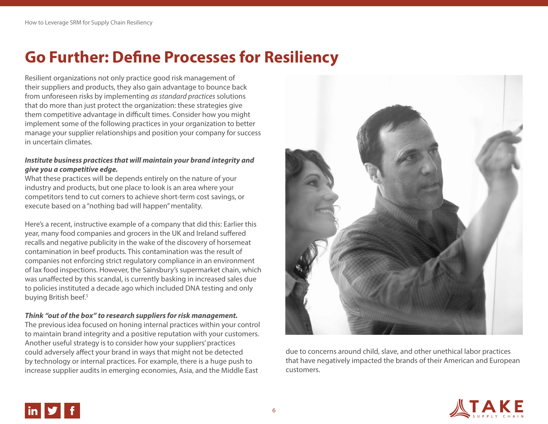## **Go Further: Define Processes for Resiliency**

Resilient organizations not only practice good risk management of their suppliers and products, they also gain advantage to bounce back from unforeseen risks by implementing *as standard practices* solutions that do more than just protect the organization: these strategies give them competitive advantage in difficult times. Consider how you might implement some of the following practices in your organization to better manage your supplier relationships and position your company for success in uncertain climates.

### *Institute business practices that will maintain your brand integrity and give you a competitive edge.*

What these practices will be depends entirely on the nature of your industry and products, but one place to look is an area where your competitors tend to cut corners to achieve short-term cost savings, or execute based on a "nothing bad will happen" mentality.

Here's a recent, instructive example of a company that did this: Earlier this year, many food companies and grocers in the UK and Ireland suffered recalls and negative publicity in the wake of the discovery of horsemeat contamination in beef products. This contamination was the result of companies not enforcing strict regulatory compliance in an environment of lax food inspections. However, the Sainsbury's supermarket chain, which was unaffected by this scandal, is currently basking in increased sales due to policies instituted a decade ago which included DNA testing and only buying British beef.<sup>5</sup>

#### *Think "out of the box" to research suppliers for risk management.*

The previous idea focused on honing internal practices within your control to maintain brand integrity and a positive reputation with your customers. Another useful strategy is to consider how your suppliers' practices could adversely affect your brand in ways that might not be detected by technology or internal practices. For example, there is a huge push to increase supplier audits in emerging economies, Asia, and the Middle East



due to concerns around child, slave, and other unethical labor practices that have negatively impacted the brands of their American and European customers.

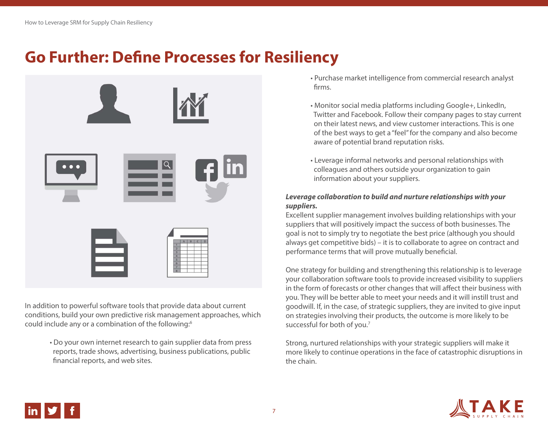### **Go Further: Define Processes for Resiliency**



In addition to powerful software tools that provide data about current conditions, build your own predictive risk management approaches, which could include any or a combination of the following:<sup>6</sup>

> • Do your own internet research to gain supplier data from press reports, trade shows, advertising, business publications, public financial reports, and web sites.

- Purchase market intelligence from commercial research analyst firms.
- Monitor social media platforms including Google+, LinkedIn, Twitter and Facebook. Follow their company pages to stay current on their latest news, and view customer interactions. This is one of the best ways to get a "feel" for the company and also become aware of potential brand reputation risks.
- Leverage informal networks and personal relationships with colleagues and others outside your organization to gain information about your suppliers.

#### *Leverage collaboration to build and nurture relationships with your suppliers.*

Excellent supplier management involves building relationships with your suppliers that will positively impact the success of both businesses. The goal is not to simply try to negotiate the best price (although you should always get competitive bids) – it is to collaborate to agree on contract and performance terms that will prove mutually beneficial.

One strategy for building and strengthening this relationship is to leverage your collaboration software tools to provide increased visibility to suppliers in the form of forecasts or other changes that will affect their business with you. They will be better able to meet your needs and it will instill trust and goodwill. If, in the case, of strategic suppliers, they are invited to give input on strategies involving their products, the outcome is more likely to be successful for both of you.7

Strong, nurtured relationships with your strategic suppliers will make it more likely to continue operations in the face of catastrophic disruptions in the chain.



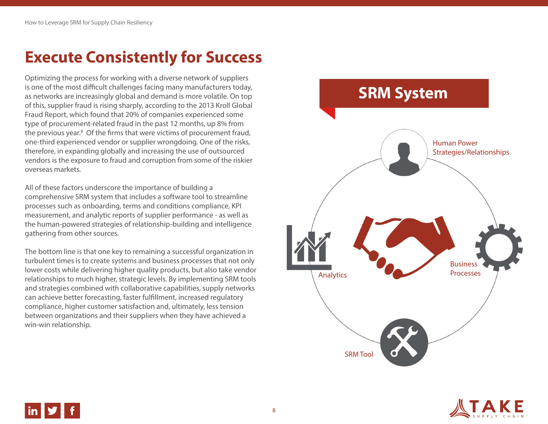## **Execute Consistently for Success**

Optimizing the process for working with a diverse network of suppliers is one of the most difficult challenges facing many manufacturers today, as networks are increasingly global and demand is more volatile. On top of this, supplier fraud is rising sharply, according to the 2013 Kroll Global Fraud Report, which found that 20% of companies experienced some type of procurement-related fraud in the past 12 months, up 8% from the previous year.<sup>8</sup> Of the firms that were victims of procurement fraud, one-third experienced vendor or supplier wrongdoing. One of the risks, therefore, in expanding globally and increasing the use of outsourced vendors is the exposure to fraud and corruption from some of the riskier overseas markets.

All of these factors underscore the importance of building a comprehensive SRM system that includes a software tool to streamline processes such as onboarding, terms and conditions compliance, KPI measurement, and analytic reports of supplier performance - as well as the human-powered strategies of relationship-building and intelligence gathering from other sources.

The bottom line is that one key to remaining a successful organization in turbulent times is to create systems and business processes that not only lower costs while delivering higher quality products, but also take vendor relationships to much higher, strategic levels. By implementing SRM tools and strategies combined with collaborative capabilities, supply networks can achieve better forecasting, faster fulfillment, increased regulatory compliance, higher customer satisfaction and, ultimately, less tension between organizations and their suppliers when they have achieved a win-win relationship.





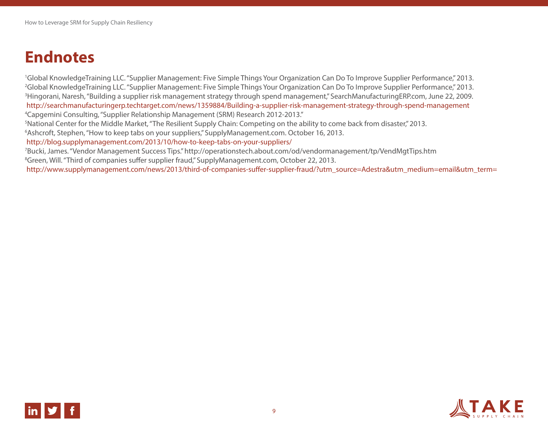### **Endnotes**

<sup>1</sup>Global KnowledgeTraining LLC. "Supplier Management: Five Simple Things Your Organization Can Do To Improve Supplier Performance," 2013. <sup>2</sup>Global KnowledgeTraining LLC. "Supplier Management: Five Simple Things Your Organization Can Do To Improve Supplier Performance," 2013. 3 Hingorani, Naresh, "Building a supplier risk management strategy through spend management," SearchManufacturingERP.com, June 22, 2009. http://searchmanufacturingerp.techtarget.com/news/1359884/Building-a-supplier-risk-management-strategy-through-spend-management 4 Capgemini Consulting, "Supplier Relationship Management (SRM) Research 2012-2013."

<sup>5</sup>National Center for the Middle Market, "The Resilient Supply Chain: Competing on the ability to come back from disaster," 2013.

6 Ashcroft, Stephen, "How to keep tabs on your suppliers," SupplyManagement.com. October 16, 2013.

http://blog.supplymanagement.com/2013/10/how-to-keep-tabs-on-your-suppliers/

7 Bucki, James. "Vendor Management Success Tips." http://operationstech.about.com/od/vendormanagement/tp/VendMgtTips.htm <sup>8</sup>Green, Will. "Third of companies suffer supplier fraud," SupplyManagement.com, October 22, 2013.

http://www.supplymanagement.com/news/2013/third-of-companies-suffer-supplier-fraud/?utm\_source=Adestra&utm\_medium=email&utm\_term=